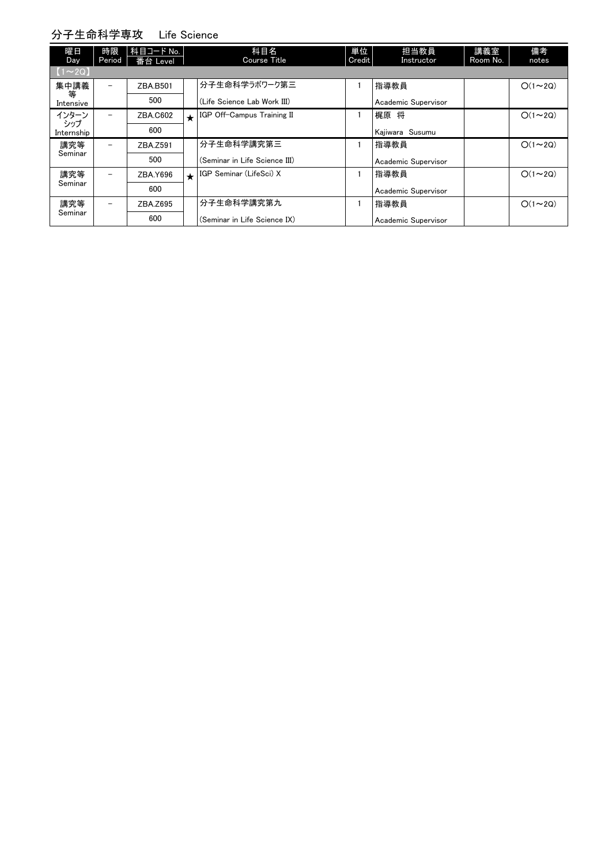## 分子生命科学専攻 Life Science

| 曜日<br>Day     | 時限<br>Period             | 科目コード No.<br>番台 Level |         | 科目名<br>Course Title           | 単位<br>Credit | 担当教員<br>Instructor  | 講義室<br>Room No. | 備考<br>notes   |
|---------------|--------------------------|-----------------------|---------|-------------------------------|--------------|---------------------|-----------------|---------------|
|               |                          |                       |         |                               |              |                     |                 |               |
| $[1 \sim 2Q]$ |                          |                       |         |                               |              |                     |                 |               |
| 集中講義<br>等     | $\overline{\phantom{m}}$ | ZBA.B501              |         | 分子生命科学ラボワーク第三                 |              | 指導教員                |                 | $O(1\sim 2Q)$ |
| Intensive     |                          | 500                   |         | (Life Science Lab Work III)   |              | Academic Supervisor |                 |               |
| インターン<br>シップ  | $\overline{\phantom{0}}$ | ZBA.C602              | $\star$ | IGP Off-Campus Training II    |              | 梶原 将                |                 | $O(1\sim 2Q)$ |
| Internship    |                          | 600                   |         |                               |              | Kajiwara Susumu     |                 |               |
| 講究等           | $\overline{\phantom{a}}$ | ZBA.Z591              |         | 分子生命科学講究第三                    |              | 指導教員                |                 | $O(1\sim 2Q)$ |
| Seminar       |                          | 500                   |         | (Seminar in Life Science III) |              | Academic Supervisor |                 |               |
| 講究等           | $\overline{\phantom{a}}$ | ZBA.Y696              | $\star$ | IGP Seminar (LifeSci) X       |              | 指導教員                |                 | $O(1\sim 2Q)$ |
| Seminar       |                          | 600                   |         |                               |              | Academic Supervisor |                 |               |
| 講究等           | $\overline{\phantom{a}}$ | ZBA.Z695              |         | 分子生命科学講究第九                    |              | 指導教員                |                 | $O(1\sim 2Q)$ |
| Seminar       |                          | 600                   |         | (Seminar in Life Science IX)  |              | Academic Supervisor |                 |               |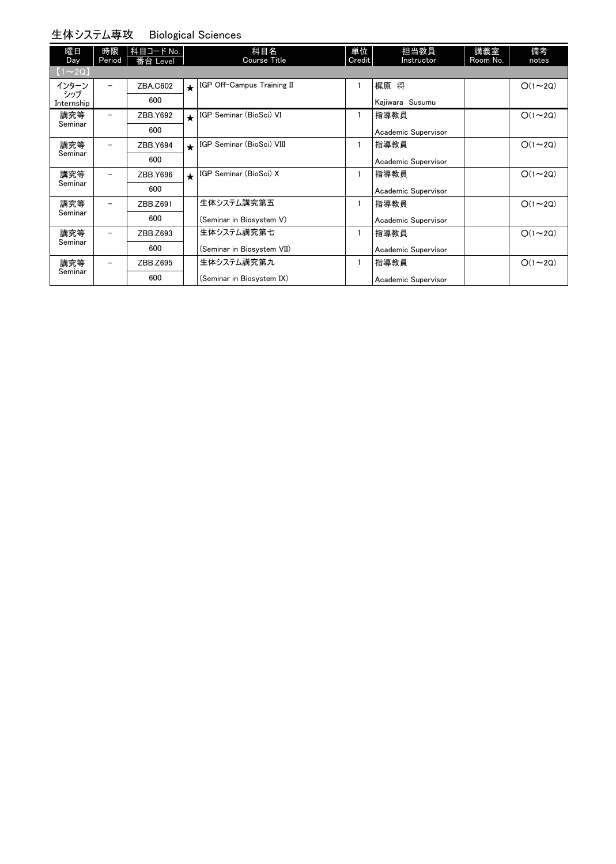#### 生体システム専攻 Biological Sciences

| 曜日<br>Day         | 時限<br>Period | 科目コード No.<br>番台 Level |            | 科目名<br>Course Title        | 単位<br>Credit | 担当教員<br>Instructor  | 講義室<br>Room No. | 備考<br>notes   |
|-------------------|--------------|-----------------------|------------|----------------------------|--------------|---------------------|-----------------|---------------|
| $[1 \sim 2Q]$     |              |                       |            |                            |              |                     |                 |               |
| インターン             |              | ZBA.C602              | $\bigstar$ | IGP Off-Campus Training II | 1            | 梶原 将                |                 | $O(1\sim 2Q)$ |
| シップ<br>Internship |              | 600                   |            |                            |              | Kajiwara Susumu     |                 |               |
| 講究等               |              | ZBB.Y692              | $\star$    | IGP Seminar (BioSci) VI    |              | 指導教員                |                 | $O(1\sim 2Q)$ |
| Seminar           |              | 600                   |            |                            |              | Academic Supervisor |                 |               |
| 講究等<br>Seminar    |              | ZBB.Y694              | $\bigstar$ | IGP Seminar (BioSci) VIII  | 1            | 指導教員                |                 | $O(1\sim 2Q)$ |
|                   |              | 600                   |            |                            |              | Academic Supervisor |                 |               |
| 講究等               |              | ZBB.Y696              | $\star$    | IGP Seminar (BioSci) X     |              | 指導教員                |                 | $O(1\sim 2Q)$ |
| Seminar           |              | 600                   |            |                            |              | Academic Supervisor |                 |               |
| 講究等               |              | ZBB.Z691              |            | 生体システム講究第五                 | 1            | 指導教員                |                 | $O(1\sim 2Q)$ |
| Seminar           |              | 600                   |            | (Seminar in Biosystem V)   |              | Academic Supervisor |                 |               |
| 講究等<br>Seminar    |              | ZBB.Z693              |            | 生体システム講究第七                 |              | 指導教員                |                 | $O(1\sim 2Q)$ |
|                   |              | 600                   |            | (Seminar in Biosystem VII) |              | Academic Supervisor |                 |               |
| 講究等<br>Seminar    |              | ZBB.Z695              |            | 生体システム講究第九                 | 1            | 指導教員                |                 | $O(1\sim 2Q)$ |
|                   |              | 600                   |            | (Seminar in Biosystem IX)  |              | Academic Supervisor |                 |               |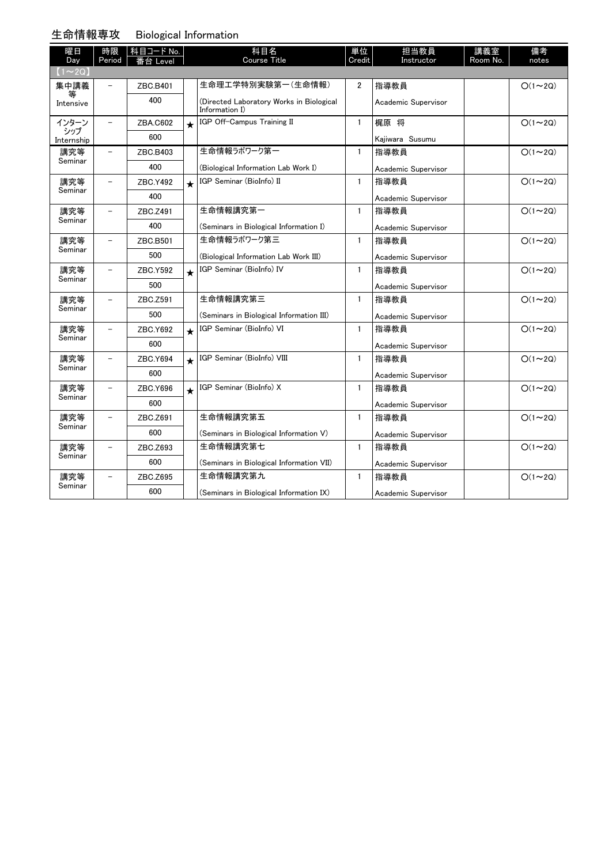#### 生命情報専攻 Biological Information

| 曜日<br>Day                     | 時限<br>Period             | │科目コード No. |                         | 科目名<br><b>Course Title</b>                                 | 単位<br>Credit   | 担当教員<br>Instructor  | 講義室<br>Room No. | 備考<br>notes   |
|-------------------------------|--------------------------|------------|-------------------------|------------------------------------------------------------|----------------|---------------------|-----------------|---------------|
| $(1\!\thicksim\!2\mathrm{Q})$ |                          | 番台 Level   |                         |                                                            |                |                     |                 |               |
| 集中講義                          |                          | ZBC.B401   |                         | 生命理工学特別実験第一(生命情報)                                          | $\overline{2}$ | 指導教員                |                 | $O(1\sim 2Q)$ |
| 等<br>Intensive                |                          | 400        |                         | (Directed Laboratory Works in Biological<br>Information I) |                | Academic Supervisor |                 |               |
| インターン                         | $\equiv$                 | ZBA.C602   | $\overline{\mathbf{r}}$ | IGP Off-Campus Training II                                 | $\mathbf{1}$   | 梶原 将                |                 | $O(1\sim 2Q)$ |
| シップ<br>Internship             |                          | 600        |                         |                                                            |                | Kajiwara Susumu     |                 |               |
| 講究等                           |                          | ZBC.B403   |                         | 生命情報ラボワーク第一                                                | 1              | 指導教員                |                 | $O(1\sim 2Q)$ |
| Seminar                       |                          | 400        |                         | (Biological Information Lab Work I)                        |                | Academic Supervisor |                 |               |
| 講究等                           |                          | ZBC.Y492   | $\star$                 | IGP Seminar (BioInfo) II                                   | 1              | 指導教員                |                 | $O(1\sim 2Q)$ |
| Seminar                       |                          | 400        |                         |                                                            |                | Academic Supervisor |                 |               |
| 講究等                           |                          | ZBC.Z491   |                         | 生命情報講究第一                                                   | 1              | 指導教員                |                 | $O(1\sim 2Q)$ |
| Seminar                       |                          | 400        |                         | (Seminars in Biological Information I)                     |                | Academic Supervisor |                 |               |
| 講究等<br>Seminar                | $\overline{\phantom{a}}$ | ZBC.B501   |                         | 生命情報ラボワーク第三                                                | $\mathbf{1}$   | 指導教員                |                 | $O(1\sim 2Q)$ |
|                               |                          | 500        |                         | (Biological Information Lab Work III)                      |                | Academic Supervisor |                 |               |
| 講究等                           | $\overline{\phantom{0}}$ | ZBC.Y592   | $\star$                 | IGP Seminar (BioInfo) IV                                   | 1              | 指導教員                |                 | $O(1\sim 2Q)$ |
| Seminar                       |                          | 500        |                         |                                                            |                | Academic Supervisor |                 |               |
| 講究等<br>Seminar                |                          | ZBC.Z591   |                         | 生命情報講究第三                                                   | $\mathbf{1}$   | 指導教員                |                 | $O(1\sim 2Q)$ |
|                               |                          | 500        |                         | (Seminars in Biological Information III)                   |                | Academic Supervisor |                 |               |
| 講究等                           |                          | ZBC.Y692   | $\star$                 | IGP Seminar (BioInfo) VI                                   | 1              | 指導教員                |                 | $O(1\sim 2Q)$ |
| Seminar                       |                          | 600        |                         |                                                            |                | Academic Supervisor |                 |               |
| 講究等                           |                          | ZBC.Y694   | $\star$                 | IGP Seminar (BioInfo) VIII                                 | $\mathbf{1}$   | 指導教員                |                 | $O(1\sim 2Q)$ |
| Seminar                       |                          | 600        |                         |                                                            |                | Academic Supervisor |                 |               |
| 講究等                           |                          | ZBC.Y696   | $\star$                 | IGP Seminar (BioInfo) X                                    | $\mathbf{1}$   | 指導教員                |                 | $O(1\sim 2Q)$ |
| Seminar                       |                          | 600        |                         |                                                            |                | Academic Supervisor |                 |               |
| 講究等                           | $\overline{\phantom{0}}$ | ZBC.Z691   |                         | 生命情報講究第五                                                   | $\mathbf{1}$   | 指導教員                |                 | $O(1\sim 2Q)$ |
| Seminar                       |                          | 600        |                         | (Seminars in Biological Information V)                     |                | Academic Supervisor |                 |               |
| 講究等                           | $\overline{\phantom{m}}$ | ZBC.Z693   |                         | 生命情報講究第七                                                   | $\mathbf{1}$   | 指導教員                |                 | $O(1\sim 2Q)$ |
| Seminar                       |                          | 600        |                         | (Seminars in Biological Information VII)                   |                | Academic Supervisor |                 |               |
| 講究等                           |                          | ZBC.Z695   |                         | 生命情報講究第九                                                   | $\mathbf{1}$   | 指導教員                |                 | $O(1\sim 2Q)$ |
| Seminar                       |                          | 600        |                         | (Seminars in Biological Information IX)                    |                | Academic Supervisor |                 |               |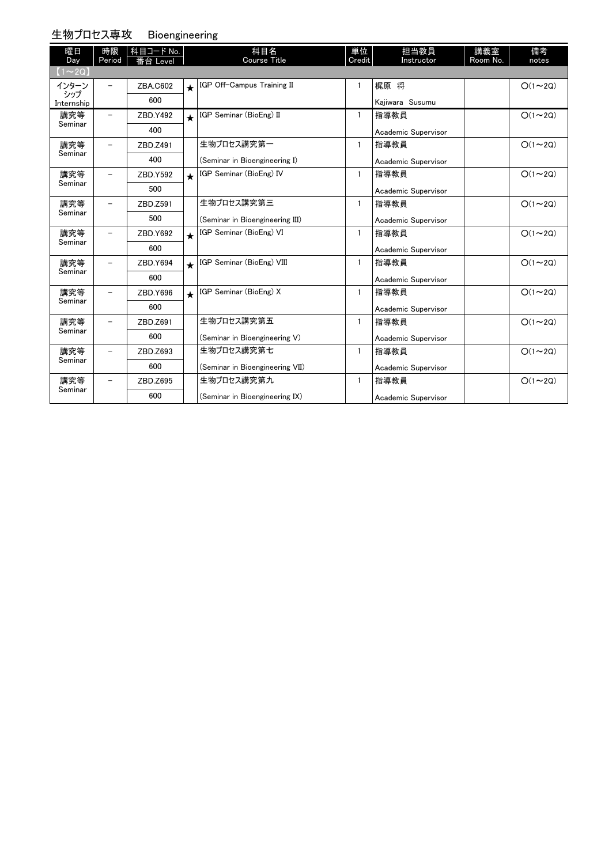### 生物プロセス専攻 Bioengineering

| 曜日                         | 時限     | 科目コード No. |         | 科目名                             | 単位           | 担当教員                | 講義室      | 備考            |
|----------------------------|--------|-----------|---------|---------------------------------|--------------|---------------------|----------|---------------|
| Day                        | Period | 番台 Level  |         | <b>Course Title</b>             | Credit       | Instructor          | Room No. | notes         |
| $(1\sim 2Q)$               |        |           |         |                                 |              |                     |          |               |
| インターン<br>シップ<br>Internship |        | ZBA.C602  |         | K GP Off-Campus Training II     | 1            | 梶原 将                |          | $O(1\sim 2Q)$ |
|                            |        | 600       |         |                                 |              | Kajiwara Susumu     |          |               |
| 講究等                        |        | ZBD.Y492  | $\star$ | IGP Seminar (BioEng) II         | 1            | 指導教員                |          | $O(1\sim 2Q)$ |
| Seminar                    |        | 400       |         |                                 |              | Academic Supervisor |          |               |
| 講究等                        |        | ZBD.Z491  |         | 生物プロセス講究第一                      | $\mathbf{1}$ | 指導教員                |          | $O(1\sim 2Q)$ |
| Seminar                    |        | 400       |         | (Seminar in Bioengineering I)   |              | Academic Supervisor |          |               |
| 講究等                        |        | ZBD.Y592  | $\star$ | IGP Seminar (BioEng) IV         | 1            | 指導教員                |          | $O(1\sim 2Q)$ |
| Seminar                    |        | 500       |         |                                 |              | Academic Supervisor |          |               |
| 講究等                        |        | ZBD.Z591  |         | 生物プロセス講究第三                      | 1            | 指導教員                |          | $O(1\sim 2Q)$ |
| Seminar                    |        | 500       |         | (Seminar in Bioengineering III) |              | Academic Supervisor |          |               |
| 講究等<br>Seminar             |        | ZBD.Y692  | $\star$ | IGP Seminar (BioEng) VI         | 1            | 指導教員                |          | $O(1\sim 2Q)$ |
|                            |        | 600       |         |                                 |              | Academic Supervisor |          |               |
| 講究等                        |        | ZBD.Y694  | $\star$ | IGP Seminar (BioEng) VIII       | $\mathbf{1}$ | 指導教員                |          | $O(1\sim 2Q)$ |
| Seminar                    |        | 600       |         |                                 |              | Academic Supervisor |          |               |
| 講究等                        |        | ZBD.Y696  | $\star$ | IGP Seminar (BioEng) X          | 1            | 指導教員                |          | $O(1\sim 2Q)$ |
| Seminar                    |        | 600       |         |                                 |              | Academic Supervisor |          |               |
| 講究等                        |        | ZBD.Z691  |         | 生物プロセス講究第五                      | 1            | 指導教員                |          | $O(1\sim 2Q)$ |
| Seminar                    |        | 600       |         | (Seminar in Bioengineering V)   |              | Academic Supervisor |          |               |
| 講究等                        |        | ZBD.Z693  |         | 生物プロセス講究第七                      | 1            | 指導教員                |          | $O(1\sim 2Q)$ |
| Seminar                    |        | 600       |         | (Seminar in Bioengineering VII) |              | Academic Supervisor |          |               |
| 講究等                        |        | ZBD.Z695  |         | 生物プロセス講究第九                      | 1            | 指導教員                |          | $O(1\sim 2Q)$ |
| Seminar                    |        | 600       |         | (Seminar in Bioengineering IX)  |              | Academic Supervisor |          |               |